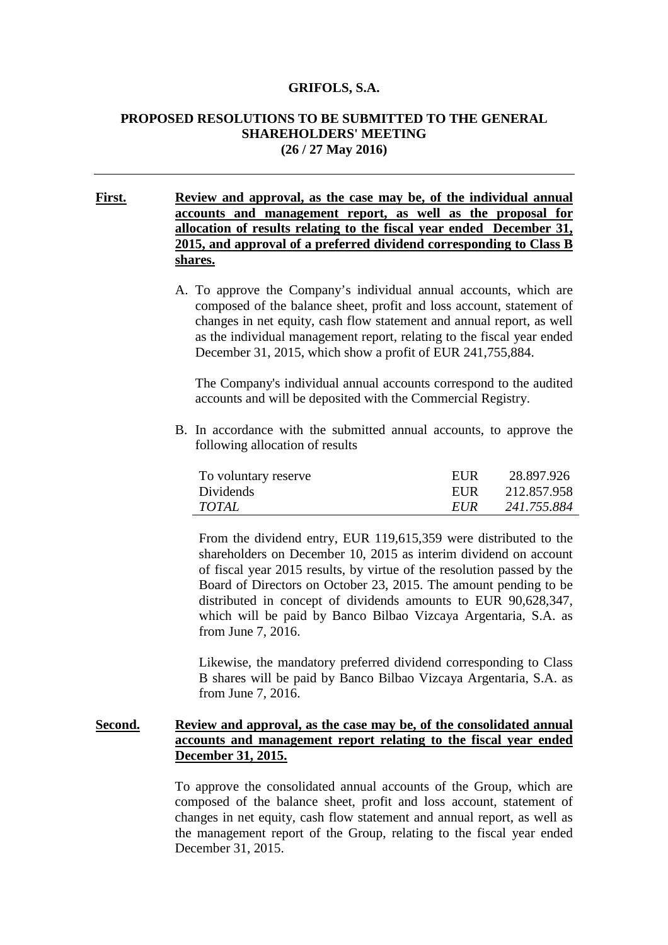#### **GRIFOLS, S.A.**

### **PROPOSED RESOLUTIONS TO BE SUBMITTED TO THE GENERAL SHAREHOLDERS' MEETING (26 / 27 May 2016)**

**First. Review and approval, as the case may be, of the individual annual accounts and management report, as well as the proposal for allocation of results relating to the fiscal year ended December 31, 2015, and approval of a preferred dividend corresponding to Class B shares.**

> A. To approve the Company's individual annual accounts, which are composed of the balance sheet, profit and loss account, statement of changes in net equity, cash flow statement and annual report, as well as the individual management report, relating to the fiscal year ended December 31, 2015, which show a profit of EUR 241,755,884.

The Company's individual annual accounts correspond to the audited accounts and will be deposited with the Commercial Registry.

B. In accordance with the submitted annual accounts, to approve the following allocation of results

| To voluntary reserve | EUR  | 28.897.926  |
|----------------------|------|-------------|
| Dividends            | EUR  | 212.857.958 |
| TOTAL                | EUR. | 241.755.884 |

From the dividend entry, EUR 119,615,359 were distributed to the shareholders on December 10, 2015 as interim dividend on account of fiscal year 2015 results, by virtue of the resolution passed by the Board of Directors on October 23, 2015. The amount pending to be distributed in concept of dividends amounts to EUR 90,628,347, which will be paid by Banco Bilbao Vizcaya Argentaria, S.A. as from June 7, 2016.

Likewise, the mandatory preferred dividend corresponding to Class B shares will be paid by Banco Bilbao Vizcaya Argentaria, S.A. as from June 7, 2016.

### **Second. Review and approval, as the case may be, of the consolidated annual accounts and management report relating to the fiscal year ended December 31, 2015.**

To approve the consolidated annual accounts of the Group, which are composed of the balance sheet, profit and loss account, statement of changes in net equity, cash flow statement and annual report, as well as the management report of the Group, relating to the fiscal year ended December 31, 2015.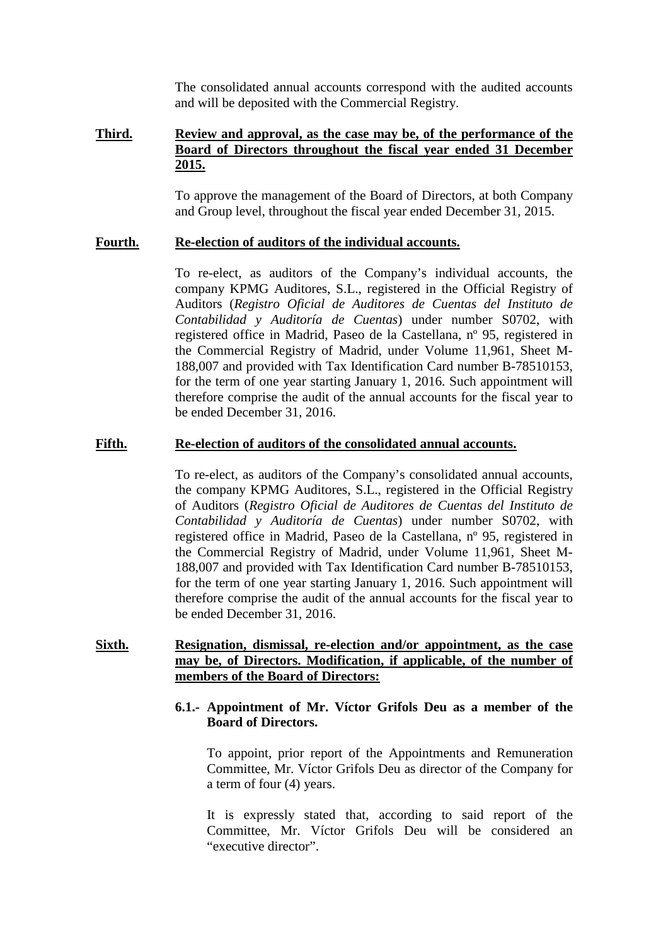The consolidated annual accounts correspond with the audited accounts and will be deposited with the Commercial Registry.

#### **Third. Review and approval, as the case may be, of the performance of the Board of Directors throughout the fiscal year ended 31 December 2015.**

To approve the management of the Board of Directors, at both Company and Group level, throughout the fiscal year ended December 31, 2015.

#### **Fourth. Re-election of auditors of the individual accounts.**

To re-elect, as auditors of the Company's individual accounts, the company KPMG Auditores, S.L., registered in the Official Registry of Auditors (*Registro Oficial de Auditores de Cuentas del Instituto de Contabilidad y Auditoría de Cuentas*) under number S0702, with registered office in Madrid, Paseo de la Castellana, nº 95, registered in the Commercial Registry of Madrid, under Volume 11,961, Sheet M-188,007 and provided with Tax Identification Card number B-78510153, for the term of one year starting January 1, 2016. Such appointment will therefore comprise the audit of the annual accounts for the fiscal year to be ended December 31, 2016.

#### **Fifth. Re-election of auditors of the consolidated annual accounts.**

To re-elect, as auditors of the Company's consolidated annual accounts, the company KPMG Auditores, S.L., registered in the Official Registry of Auditors (*Registro Oficial de Auditores de Cuentas del Instituto de Contabilidad y Auditoría de Cuentas*) under number S0702, with registered office in Madrid, Paseo de la Castellana, nº 95, registered in the Commercial Registry of Madrid, under Volume 11,961, Sheet M-188,007 and provided with Tax Identification Card number B-78510153, for the term of one year starting January 1, 2016. Such appointment will therefore comprise the audit of the annual accounts for the fiscal year to be ended December 31, 2016.

## **Sixth. Resignation, dismissal, re-election and/or appointment, as the case may be, of Directors. Modification, if applicable, of the number of members of the Board of Directors:**

## **6.1.- Appointment of Mr. Víctor Grifols Deu as a member of the Board of Directors.**

To appoint, prior report of the Appointments and Remuneration Committee, Mr. Víctor Grifols Deu as director of the Company for a term of four (4) years.

It is expressly stated that, according to said report of the Committee, Mr. Víctor Grifols Deu will be considered an "executive director".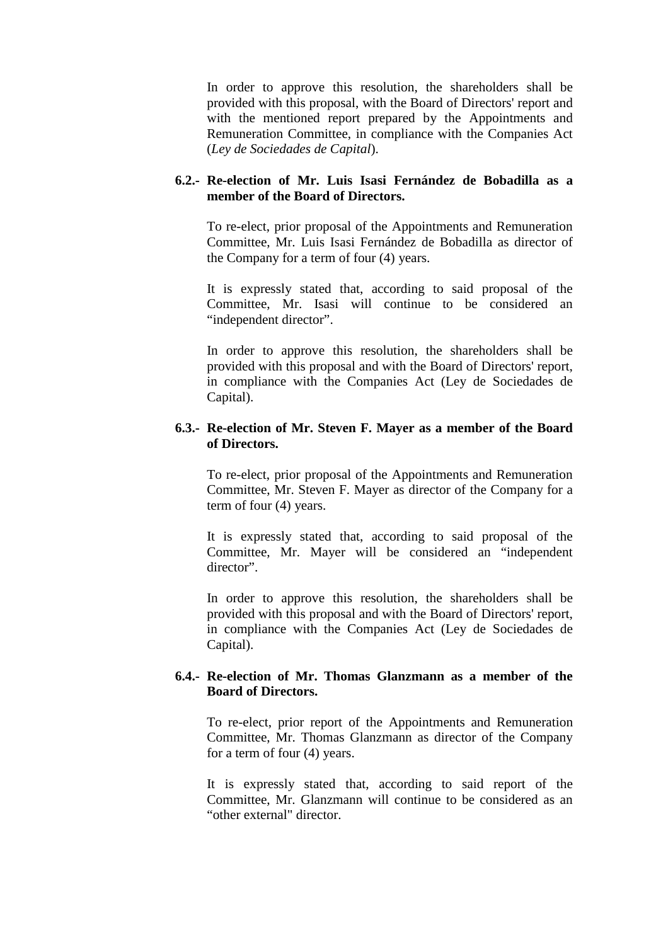In order to approve this resolution, the shareholders shall be provided with this proposal, with the Board of Directors' report and with the mentioned report prepared by the Appointments and Remuneration Committee, in compliance with the Companies Act (*Ley de Sociedades de Capital*).

## **6.2.- Re-election of Mr. Luis Isasi Fernández de Bobadilla as a member of the Board of Directors.**

To re-elect, prior proposal of the Appointments and Remuneration Committee, Mr. Luis Isasi Fernández de Bobadilla as director of the Company for a term of four (4) years.

It is expressly stated that, according to said proposal of the Committee, Mr. Isasi will continue to be considered an "independent director".

In order to approve this resolution, the shareholders shall be provided with this proposal and with the Board of Directors' report, in compliance with the Companies Act (Ley de Sociedades de Capital).

## **6.3.- Re-election of Mr. Steven F. Mayer as a member of the Board of Directors.**

To re-elect, prior proposal of the Appointments and Remuneration Committee, Mr. Steven F. Mayer as director of the Company for a term of four (4) years.

It is expressly stated that, according to said proposal of the Committee, Mr. Mayer will be considered an "independent director".

In order to approve this resolution, the shareholders shall be provided with this proposal and with the Board of Directors' report, in compliance with the Companies Act (Ley de Sociedades de Capital).

## **6.4.- Re-election of Mr. Thomas Glanzmann as a member of the Board of Directors.**

To re-elect, prior report of the Appointments and Remuneration Committee, Mr. Thomas Glanzmann as director of the Company for a term of four (4) years.

It is expressly stated that, according to said report of the Committee, Mr. Glanzmann will continue to be considered as an "other external" director.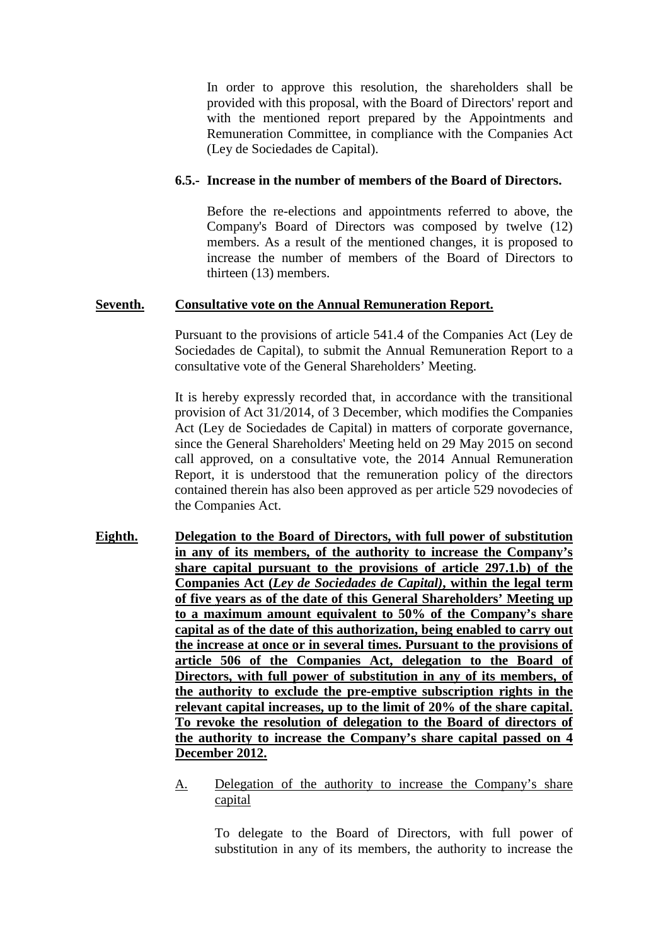In order to approve this resolution, the shareholders shall be provided with this proposal, with the Board of Directors' report and with the mentioned report prepared by the Appointments and Remuneration Committee, in compliance with the Companies Act (Ley de Sociedades de Capital).

## **6.5.- Increase in the number of members of the Board of Directors.**

Before the re-elections and appointments referred to above, the Company's Board of Directors was composed by twelve (12) members. As a result of the mentioned changes, it is proposed to increase the number of members of the Board of Directors to thirteen (13) members.

## **Seventh. Consultative vote on the Annual Remuneration Report.**

Pursuant to the provisions of article 541.4 of the Companies Act (Ley de Sociedades de Capital), to submit the Annual Remuneration Report to a consultative vote of the General Shareholders' Meeting.

It is hereby expressly recorded that, in accordance with the transitional provision of Act 31/2014, of 3 December, which modifies the Companies Act (Ley de Sociedades de Capital) in matters of corporate governance, since the General Shareholders' Meeting held on 29 May 2015 on second call approved, on a consultative vote, the 2014 Annual Remuneration Report, it is understood that the remuneration policy of the directors contained therein has also been approved as per article 529 novodecies of the Companies Act.

- **Eighth. Delegation to the Board of Directors, with full power of substitution in any of its members, of the authority to increase the Company's share capital pursuant to the provisions of article 297.1.b) of the Companies Act (***Ley de Sociedades de Capital)***, within the legal term of five years as of the date of this General Shareholders' Meeting up to a maximum amount equivalent to 50% of the Company's share capital as of the date of this authorization, being enabled to carry out the increase at once or in several times. Pursuant to the provisions of article 506 of the Companies Act, delegation to the Board of Directors, with full power of substitution in any of its members, of the authority to exclude the pre-emptive subscription rights in the relevant capital increases, up to the limit of 20% of the share capital. To revoke the resolution of delegation to the Board of directors of the authority to increase the Company's share capital passed on 4 December 2012.**
	- A. Delegation of the authority to increase the Company's share capital

To delegate to the Board of Directors, with full power of substitution in any of its members, the authority to increase the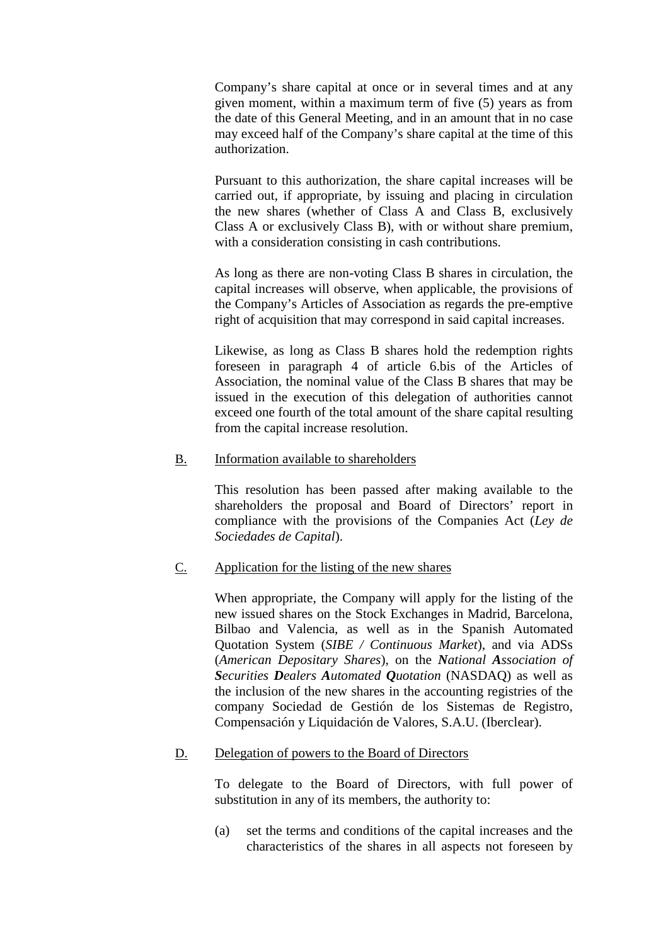Company's share capital at once or in several times and at any given moment, within a maximum term of five (5) years as from the date of this General Meeting, and in an amount that in no case may exceed half of the Company's share capital at the time of this authorization.

Pursuant to this authorization, the share capital increases will be carried out, if appropriate, by issuing and placing in circulation the new shares (whether of Class A and Class B, exclusively Class A or exclusively Class B), with or without share premium, with a consideration consisting in cash contributions.

As long as there are non-voting Class B shares in circulation, the capital increases will observe, when applicable, the provisions of the Company's Articles of Association as regards the pre-emptive right of acquisition that may correspond in said capital increases.

Likewise, as long as Class B shares hold the redemption rights foreseen in paragraph 4 of article 6.bis of the Articles of Association, the nominal value of the Class B shares that may be issued in the execution of this delegation of authorities cannot exceed one fourth of the total amount of the share capital resulting from the capital increase resolution.

## B. Information available to shareholders

This resolution has been passed after making available to the shareholders the proposal and Board of Directors' report in compliance with the provisions of the Companies Act (*Ley de Sociedades de Capital*).

# C. Application for the listing of the new shares

When appropriate, the Company will apply for the listing of the new issued shares on the Stock Exchanges in Madrid, Barcelona, Bilbao and Valencia, as well as in the Spanish Automated Quotation System (*SIBE / Continuous Market*), and via ADSs (*American Depositary Shares*), on the *National Association of Securities Dealers Automated Quotation* (NASDAQ) as well as the inclusion of the new shares in the accounting registries of the company Sociedad de Gestión de los Sistemas de Registro, Compensación y Liquidación de Valores, S.A.U. (Iberclear).

### D. Delegation of powers to the Board of Directors

To delegate to the Board of Directors, with full power of substitution in any of its members, the authority to:

(a) set the terms and conditions of the capital increases and the characteristics of the shares in all aspects not foreseen by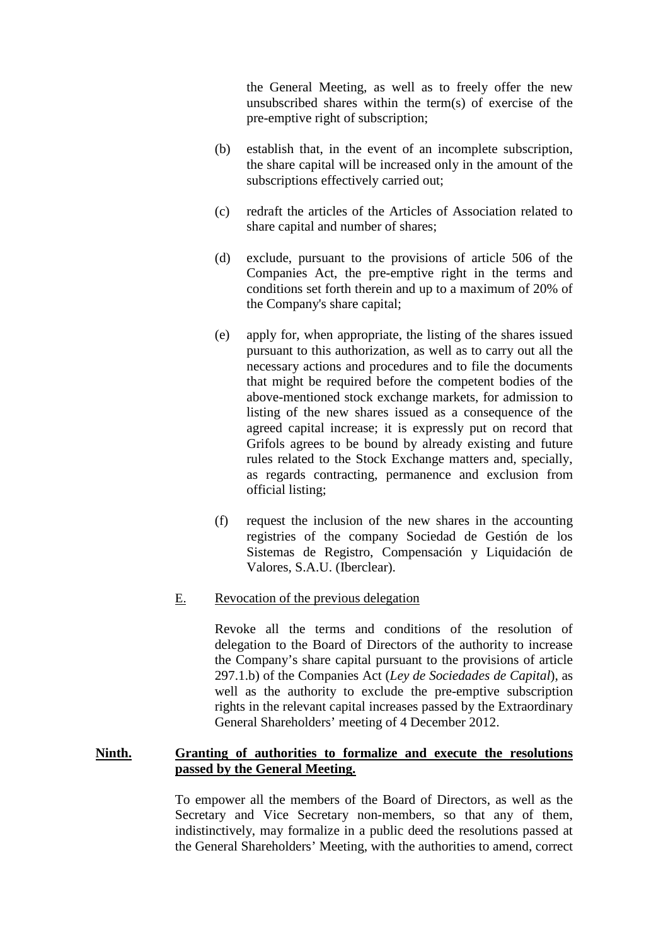the General Meeting, as well as to freely offer the new unsubscribed shares within the term(s) of exercise of the pre-emptive right of subscription;

- (b) establish that, in the event of an incomplete subscription, the share capital will be increased only in the amount of the subscriptions effectively carried out;
- (c) redraft the articles of the Articles of Association related to share capital and number of shares;
- (d) exclude, pursuant to the provisions of article 506 of the Companies Act, the pre-emptive right in the terms and conditions set forth therein and up to a maximum of 20% of the Company's share capital;
- (e) apply for, when appropriate, the listing of the shares issued pursuant to this authorization, as well as to carry out all the necessary actions and procedures and to file the documents that might be required before the competent bodies of the above-mentioned stock exchange markets, for admission to listing of the new shares issued as a consequence of the agreed capital increase; it is expressly put on record that Grifols agrees to be bound by already existing and future rules related to the Stock Exchange matters and, specially, as regards contracting, permanence and exclusion from official listing;
- (f) request the inclusion of the new shares in the accounting registries of the company Sociedad de Gestión de los Sistemas de Registro, Compensación y Liquidación de Valores, S.A.U. (Iberclear).
- E. Revocation of the previous delegation

Revoke all the terms and conditions of the resolution of delegation to the Board of Directors of the authority to increase the Company's share capital pursuant to the provisions of article 297.1.b) of the Companies Act (*Ley de Sociedades de Capital*), as well as the authority to exclude the pre-emptive subscription rights in the relevant capital increases passed by the Extraordinary General Shareholders' meeting of 4 December 2012.

#### **Ninth. Granting of authorities to formalize and execute the resolutions passed by the General Meeting.**

To empower all the members of the Board of Directors, as well as the Secretary and Vice Secretary non-members, so that any of them, indistinctively, may formalize in a public deed the resolutions passed at the General Shareholders' Meeting, with the authorities to amend, correct